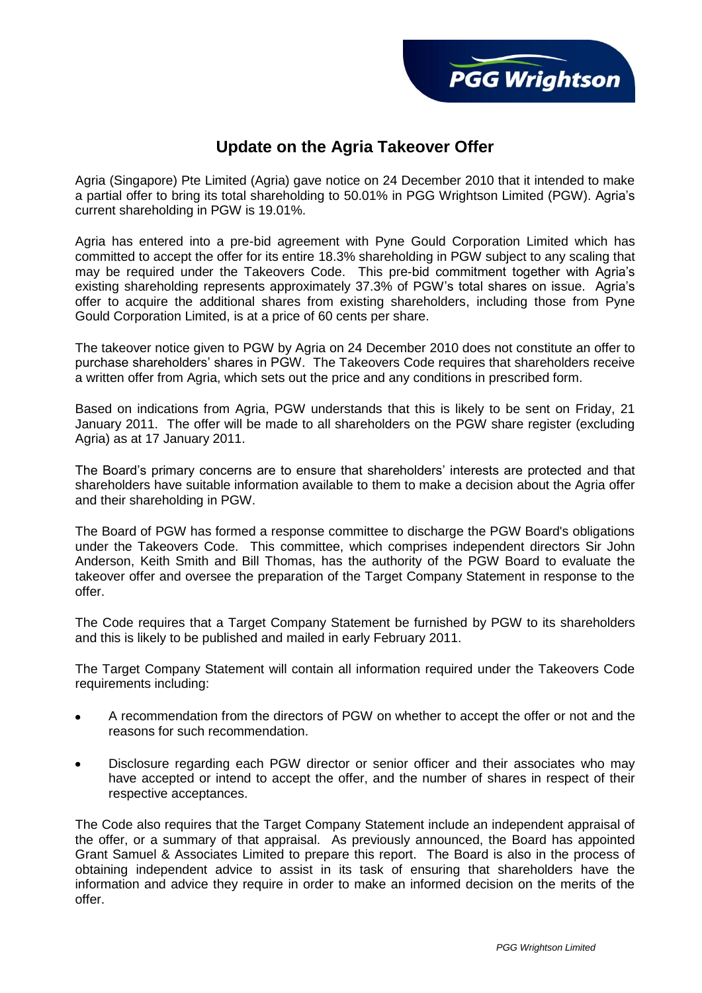## **Update on the Agria Takeover Offer**

Agria (Singapore) Pte Limited (Agria) gave notice on 24 December 2010 that it intended to make a partial offer to bring its total shareholding to 50.01% in PGG Wrightson Limited (PGW). Agria's current shareholding in PGW is 19.01%.

Agria has entered into a pre-bid agreement with Pyne Gould Corporation Limited which has committed to accept the offer for its entire 18.3% shareholding in PGW subject to any scaling that may be required under the Takeovers Code. This pre-bid commitment together with Agria's existing shareholding represents approximately 37.3% of PGW's total shares on issue. Agria's offer to acquire the additional shares from existing shareholders, including those from Pyne Gould Corporation Limited, is at a price of 60 cents per share.

The takeover notice given to PGW by Agria on 24 December 2010 does not constitute an offer to purchase shareholders' shares in PGW. The Takeovers Code requires that shareholders receive a written offer from Agria, which sets out the price and any conditions in prescribed form.

Based on indications from Agria, PGW understands that this is likely to be sent on Friday, 21 January 2011. The offer will be made to all shareholders on the PGW share register (excluding Agria) as at 17 January 2011.

The Board's primary concerns are to ensure that shareholders' interests are protected and that shareholders have suitable information available to them to make a decision about the Agria offer and their shareholding in PGW.

The Board of PGW has formed a response committee to discharge the PGW Board's obligations under the Takeovers Code. This committee, which comprises independent directors Sir John Anderson, Keith Smith and Bill Thomas, has the authority of the PGW Board to evaluate the takeover offer and oversee the preparation of the Target Company Statement in response to the offer.

The Code requires that a Target Company Statement be furnished by PGW to its shareholders and this is likely to be published and mailed in early February 2011.

The Target Company Statement will contain all information required under the Takeovers Code requirements including:

- A recommendation from the directors of PGW on whether to accept the offer or not and the reasons for such recommendation.
- Disclosure regarding each PGW director or senior officer and their associates who may  $\bullet$ have accepted or intend to accept the offer, and the number of shares in respect of their respective acceptances.

The Code also requires that the Target Company Statement include an independent appraisal of the offer, or a summary of that appraisal. As previously announced, the Board has appointed Grant Samuel & Associates Limited to prepare this report. The Board is also in the process of obtaining independent advice to assist in its task of ensuring that shareholders have the information and advice they require in order to make an informed decision on the merits of the offer.